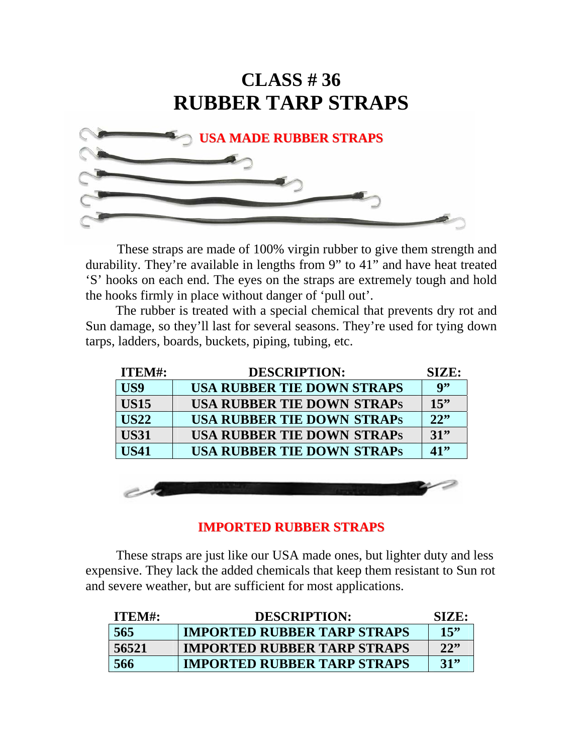## **CLASS # 36 RUBBER TARP STRAPS**



 These straps are made of 100% virgin rubber to give them strength and durability. They're available in lengths from 9" to 41" and have heat treated 'S' hooks on each end. The eyes on the straps are extremely tough and hold the hooks firmly in place without danger of 'pull out'.

 The rubber is treated with a special chemical that prevents dry rot and Sun damage, so they'll last for several seasons. They're used for tying down tarps, ladders, boards, buckets, piping, tubing, etc.

| ITEM#:      | <b>DESCRIPTION:</b>               | SIZE: |
|-------------|-----------------------------------|-------|
| US9         | <b>USA RUBBER TIE DOWN STRAPS</b> | 9"    |
| <b>US15</b> | <b>USA RUBBER TIE DOWN STRAPS</b> | 15"   |
| <b>US22</b> | <b>USA RUBBER TIE DOWN STRAPS</b> | 22"   |
| <b>US31</b> | <b>USA RUBBER TIE DOWN STRAPS</b> | 31    |
| <b>US41</b> | <b>USA RUBBER TIE DOWN STRAPS</b> | 41"   |



#### **IMPORTED RUBBER STRAPS**

 These straps are just like our USA made ones, but lighter duty and less expensive. They lack the added chemicals that keep them resistant to Sun rot and severe weather, but are sufficient for most applications.

| ITEM#: | <b>DESCRIPTION:</b>                | SIZE: |
|--------|------------------------------------|-------|
| 565    | <b>IMPORTED RUBBER TARP STRAPS</b> | 15"   |
| 56521  | <b>IMPORTED RUBBER TARP STRAPS</b> | 22    |
| 566    | <b>IMPORTED RUBBER TARP STRAPS</b> | 31"   |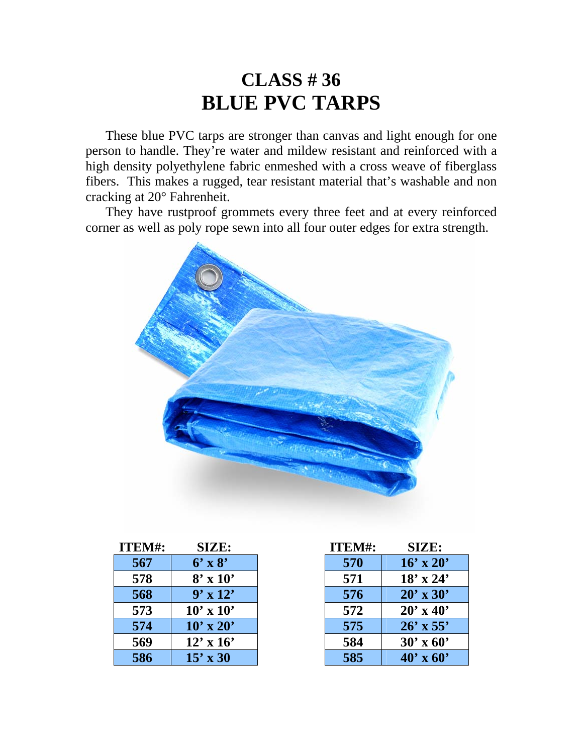### **CLASS # 36 BLUE PVC TARPS**

 These blue PVC tarps are stronger than canvas and light enough for one person to handle. They're water and mildew resistant and reinforced with a high density polyethylene fabric enmeshed with a cross weave of fiberglass fibers. This makes a rugged, tear resistant material that's washable and non cracking at 20° Fahrenheit.

 They have rustproof grommets every three feet and at every reinforced corner as well as poly rope sewn into all four outer edges for extra strength.



| ITEM#: | SIZE:            |
|--------|------------------|
| 567    | $6'$ x $8'$      |
| 578    | $8' \times 10'$  |
| 568    | $9' \times 12'$  |
| 573    | $10' \times 10'$ |
| 574    | $10' \times 20'$ |
| 569    | $12' \times 16'$ |
| 586    | $15' \times 30$  |

| ITEM#: | SIZE:            |
|--------|------------------|
| 570    | $16' \times 20'$ |
| 571    | $18' \times 24'$ |
| 576    | $20' \times 30'$ |
| 572    | $20' \times 40'$ |
| 575    | $26'$ x 55'      |
| 584    | $30'$ x 60'      |
| 585    | $40' \times 60'$ |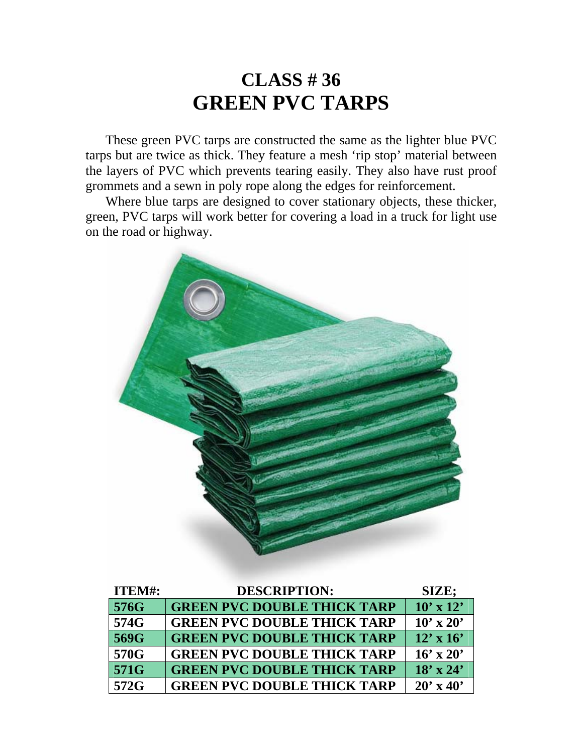### **CLASS # 36 GREEN PVC TARPS**

 These green PVC tarps are constructed the same as the lighter blue PVC tarps but are twice as thick. They feature a mesh 'rip stop' material between the layers of PVC which prevents tearing easily. They also have rust proof grommets and a sewn in poly rope along the edges for reinforcement.

 Where blue tarps are designed to cover stationary objects, these thicker, green, PVC tarps will work better for covering a load in a truck for light use on the road or highway.



| <b>ITEM#:</b> | <b>DESCRIPTION:</b>                | SIZE;            |
|---------------|------------------------------------|------------------|
| 576G          | <b>GREEN PVC DOUBLE THICK TARP</b> | $10' \times 12'$ |
| 574G          | <b>GREEN PVC DOUBLE THICK TARP</b> | $10' \times 20'$ |
| 569G          | <b>GREEN PVC DOUBLE THICK TARP</b> | $12' \times 16'$ |
| 570G          | <b>GREEN PVC DOUBLE THICK TARP</b> | $16' \times 20'$ |
| 571G          | <b>GREEN PVC DOUBLE THICK TARP</b> | $18' \times 24'$ |
| 572G          | <b>GREEN PVC DOUBLE THICK TARP</b> | $20' \times 40'$ |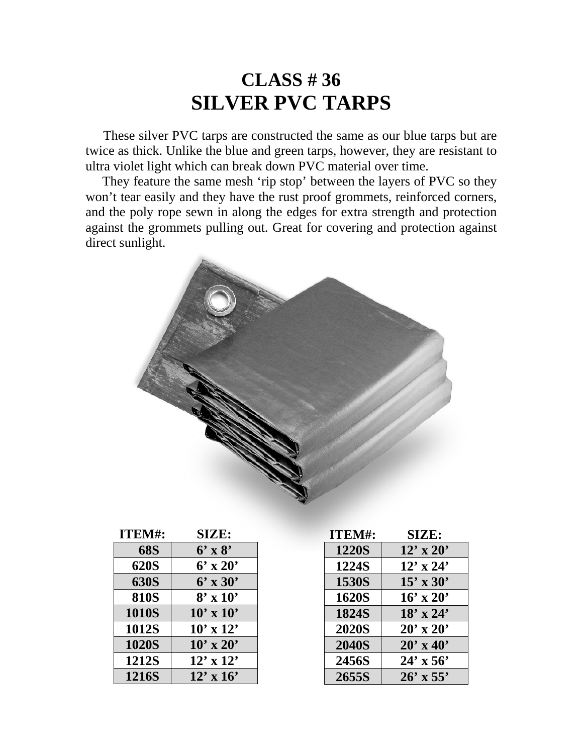### **CLASS # 36 SILVER PVC TARPS**

 These silver PVC tarps are constructed the same as our blue tarps but are twice as thick. Unlike the blue and green tarps, however, they are resistant to ultra violet light which can break down PVC material over time.

They feature the same mesh 'rip stop' between the layers of PVC so they won't tear easily and they have the rust proof grommets, reinforced corners, and the poly rope sewn in along the edges for extra strength and protection against the grommets pulling out. Great for covering and protection against direct sunlight.



| ITEM#:       | SIZE:            |
|--------------|------------------|
| <b>68S</b>   | $6'$ x $8'$      |
| <b>620S</b>  | $6'$ x 20'       |
| <b>630S</b>  | $6'$ x 30'       |
| <b>810S</b>  | $8' \times 10'$  |
| <b>1010S</b> | $10' \times 10'$ |
| 1012S        | $10' \times 12'$ |
| <b>1020S</b> | $10' \times 20'$ |
| 1212S        | $12' \times 12'$ |
| <b>1216S</b> | $12' \times 16'$ |

| ITEM#:       | <b>SIZE:</b>     |
|--------------|------------------|
| <b>1220S</b> | $12' \times 20'$ |
| 1224S        | $12'$ x 24'      |
| 1530S        | $15' \times 30'$ |
| <b>1620S</b> | $16' \times 20'$ |
| <b>1824S</b> | $18' \times 24'$ |
| <b>2020S</b> | $20' \times 20'$ |
| <b>2040S</b> | $20' \times 40'$ |
| 2456S        | $24' \times 56'$ |
| 2655S        | $26'$ x 55'      |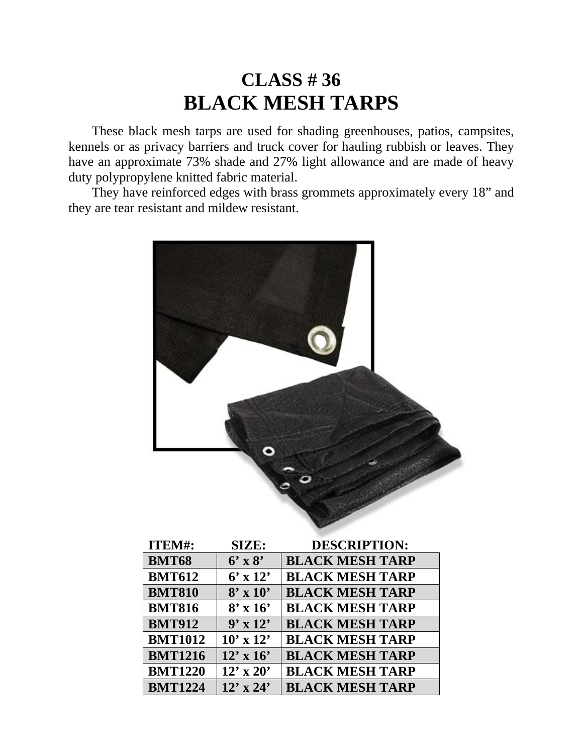## **CLASS # 36 BLACK MESH TARPS**

 These black mesh tarps are used for shading greenhouses, patios, campsites, kennels or as privacy barriers and truck cover for hauling rubbish or leaves. They have an approximate 73% shade and 27% light allowance and are made of heavy duty polypropylene knitted fabric material.

 They have reinforced edges with brass grommets approximately every 18" and they are tear resistant and mildew resistant.



| <b>TTEM#:</b>  | SIZE:            | DESCRIPTION:           |
|----------------|------------------|------------------------|
| <b>BMT68</b>   | $6'$ x $8'$      | <b>BLACK MESH TARP</b> |
| <b>BMT612</b>  | $6' \times 12'$  | <b>BLACK MESH TARP</b> |
| <b>BMT810</b>  | $8' \times 10'$  | <b>BLACK MESH TARP</b> |
| <b>BMT816</b>  | $8' \times 16'$  | <b>BLACK MESH TARP</b> |
| <b>BMT912</b>  | $9' \times 12'$  | <b>BLACK MESH TARP</b> |
| <b>BMT1012</b> | $10' \times 12'$ | <b>BLACK MESH TARP</b> |
| <b>BMT1216</b> | $12' \times 16'$ | <b>BLACK MESH TARP</b> |
| <b>BMT1220</b> | $12'$ x 20'      | <b>BLACK MESH TARP</b> |
| <b>BMT1224</b> | $12'$ x $24'$    | <b>BLACK MESH TARP</b> |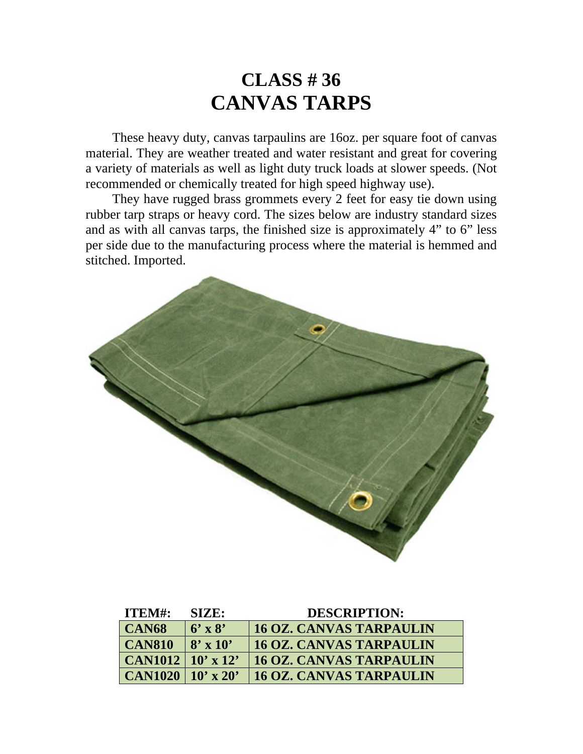### **CLASS # 36 CANVAS TARPS**

 These heavy duty, canvas tarpaulins are 16oz. per square foot of canvas material. They are weather treated and water resistant and great for covering a variety of materials as well as light duty truck loads at slower speeds. (Not recommended or chemically treated for high speed highway use).

 They have rugged brass grommets every 2 feet for easy tie down using rubber tarp straps or heavy cord. The sizes below are industry standard sizes and as with all canvas tarps, the finished size is approximately 4" to 6" less per side due to the manufacturing process where the material is hemmed and stitched. Imported.



| ITEM#:                  | <b>SIZE:</b>    | <b>DESCRIPTION:</b>            |
|-------------------------|-----------------|--------------------------------|
| $\overline{CAN68}$      | $6'$ x $8'$     | <b>16 OZ. CANVAS TARPAULIN</b> |
| $\overline{CAN810}$     | $8' \times 10'$ | <b>16 OZ. CANVAS TARPAULIN</b> |
| $ $ CAN1012   10' x 12' |                 | <b>16 OZ. CANVAS TARPAULIN</b> |
| $ $ CAN1020   10' x 20' |                 | <b>16 OZ. CANVAS TARPAULIN</b> |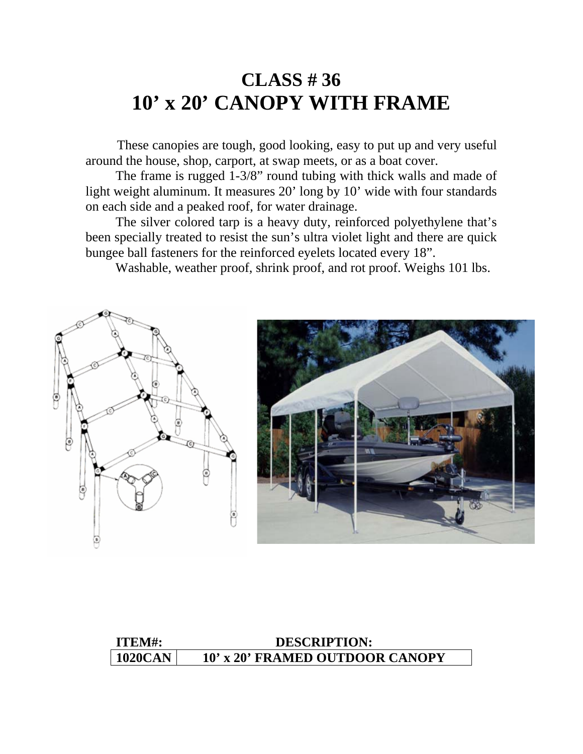### **CLASS # 36 10' x 20' CANOPY WITH FRAME**

 These canopies are tough, good looking, easy to put up and very useful around the house, shop, carport, at swap meets, or as a boat cover.

 The frame is rugged 1-3/8" round tubing with thick walls and made of light weight aluminum. It measures 20' long by 10' wide with four standards on each side and a peaked roof, for water drainage.

 The silver colored tarp is a heavy duty, reinforced polyethylene that's been specially treated to resist the sun's ultra violet light and there are quick bungee ball fasteners for the reinforced eyelets located every 18".

Washable, weather proof, shrink proof, and rot proof. Weighs 101 lbs.



### **ITEM#: DESCRIPTION:**  1020CAN 10' x 20' FRAMED OUTDOOR CANOPY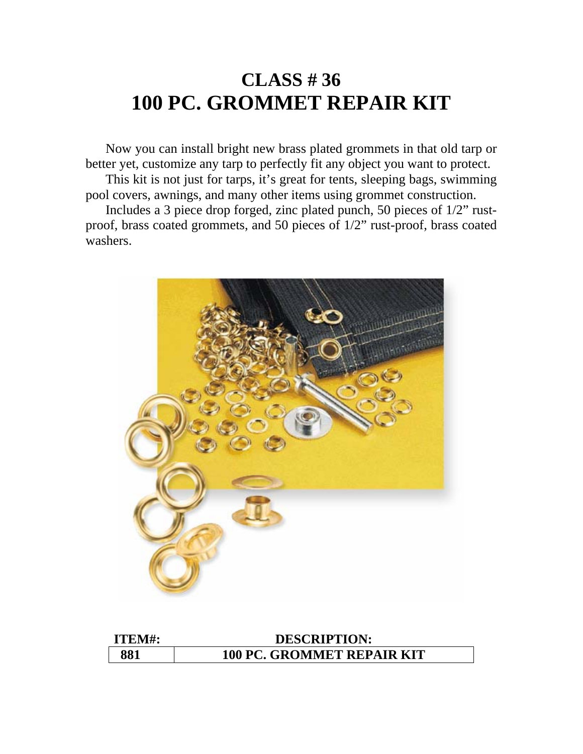## **CLASS # 36 100 PC. GROMMET REPAIR KIT**

 Now you can install bright new brass plated grommets in that old tarp or better yet, customize any tarp to perfectly fit any object you want to protect.

 This kit is not just for tarps, it's great for tents, sleeping bags, swimming pool covers, awnings, and many other items using grommet construction.

 Includes a 3 piece drop forged, zinc plated punch, 50 pieces of 1/2" rustproof, brass coated grommets, and 50 pieces of 1/2" rust-proof, brass coated washers.



| ITEM#: | <b>DESCRIPTION:</b>               |
|--------|-----------------------------------|
| 881    | <b>100 PC. GROMMET REPAIR KIT</b> |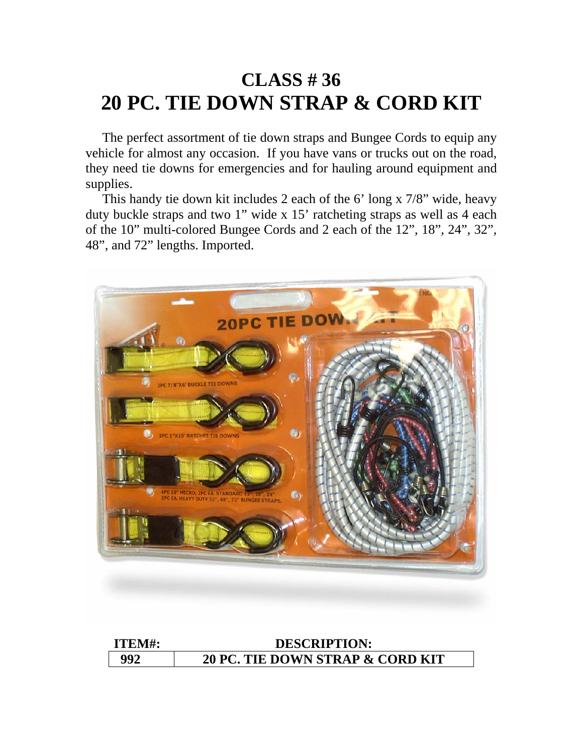# **CLASS # 36 20 PC. TIE DOWN STRAP & CORD KIT**

 The perfect assortment of tie down straps and Bungee Cords to equip any vehicle for almost any occasion. If you have vans or trucks out on the road, they need tie downs for emergencies and for hauling around equipment and supplies.

 This handy tie down kit includes 2 each of the 6' long x 7/8" wide, heavy duty buckle straps and two 1" wide x 15' ratcheting straps as well as 4 each of the 10" multi-colored Bungee Cords and 2 each of the 12", 18", 24", 32", 48", and 72" lengths. Imported.



| ITEM#: | <b>DESCRIPTION:</b>              |
|--------|----------------------------------|
| 992    | 20 PC. TIE DOWN STRAP & CORD KIT |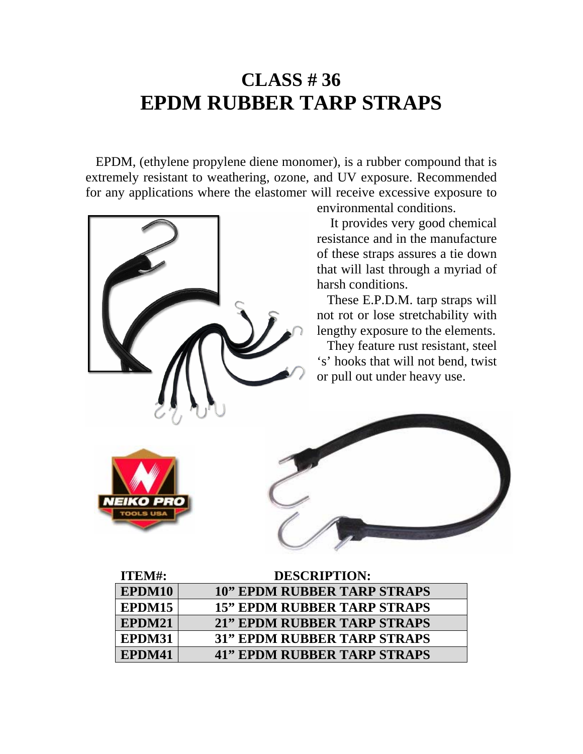## **CLASS # 36 EPDM RUBBER TARP STRAPS**

 EPDM, (ethylene propylene diene monomer), is a rubber compound that is extremely resistant to weathering, ozone, and UV exposure. Recommended for any applications where the elastomer will receive excessive exposure to



| <b>ITEM#:</b> | <b>DESCRIPTION:</b>                |
|---------------|------------------------------------|
| EPDM10        | <b>10" EPDM RUBBER TARP STRAPS</b> |
| EPDM15        | <b>15" EPDM RUBBER TARP STRAPS</b> |
| EPDM21        | <b>21" EPDM RUBBER TARP STRAPS</b> |
| EPDM31        | <b>31" EPDM RUBBER TARP STRAPS</b> |
| EPDM41        | <b>41" EPDM RUBBER TARP STRAPS</b> |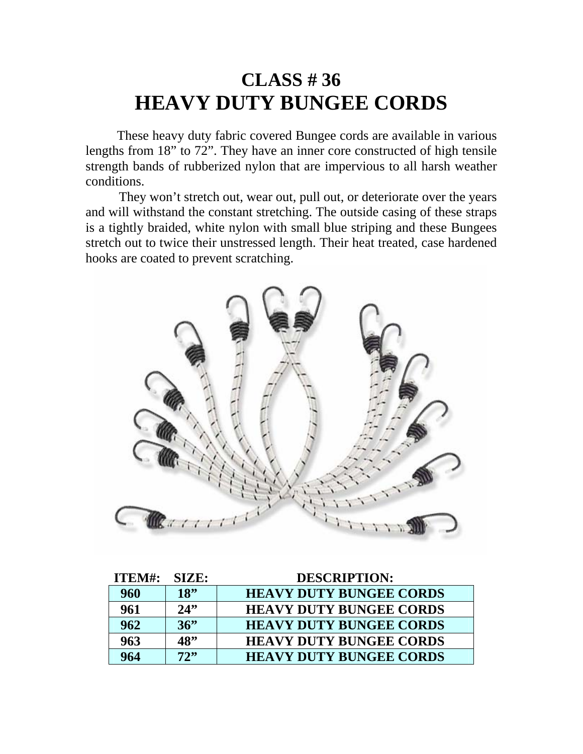### **CLASS # 36 HEAVY DUTY BUNGEE CORDS**

 These heavy duty fabric covered Bungee cords are available in various lengths from 18" to 72". They have an inner core constructed of high tensile strength bands of rubberized nylon that are impervious to all harsh weather conditions.

 They won't stretch out, wear out, pull out, or deteriorate over the years and will withstand the constant stretching. The outside casing of these straps is a tightly braided, white nylon with small blue striping and these Bungees stretch out to twice their unstressed length. Their heat treated, case hardened hooks are coated to prevent scratching.



| ITEM#: | SIZE: | <b>DESCRIPTION:</b>            |
|--------|-------|--------------------------------|
| 960    | 18"   | <b>HEAVY DUTY BUNGEE CORDS</b> |
| 961    | 24"   | <b>HEAVY DUTY BUNGEE CORDS</b> |
| 962    | 36"   | <b>HEAVY DUTY BUNGEE CORDS</b> |
| 963    | 48"   | <b>HEAVY DUTY BUNGEE CORDS</b> |
| 964    | 72"   | <b>HEAVY DUTY BUNGEE CORDS</b> |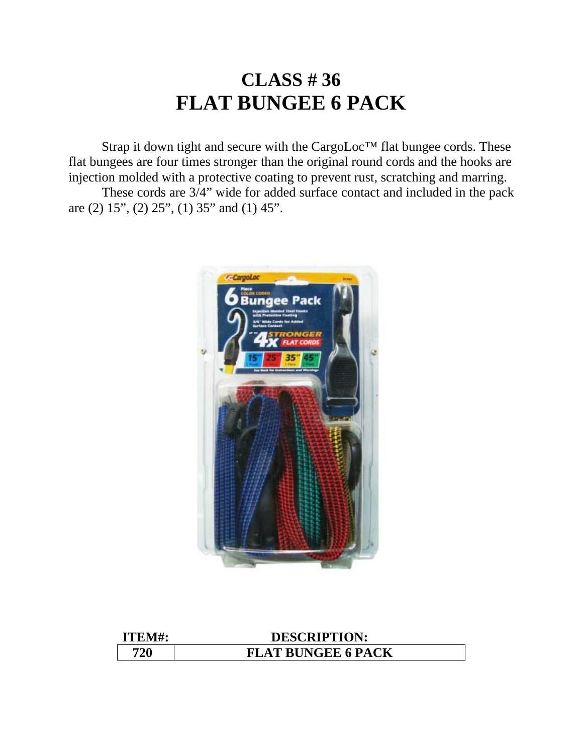# **CLASS # 36 FLAT BUNGEE 6 PACK**

 Strap it down tight and secure with the CargoLoc™ flat bungee cords. These flat bungees are four times stronger than the original round cords and the hooks are injection molded with a protective coating to prevent rust, scratching and marring.

 These cords are 3/4" wide for added surface contact and included in the pack are (2) 15", (2) 25", (1) 35" and (1) 45".



| ITEM#: | <b>DESCRIPTION:</b>       |
|--------|---------------------------|
| 720    | <b>FLAT BUNGEE 6 PACK</b> |